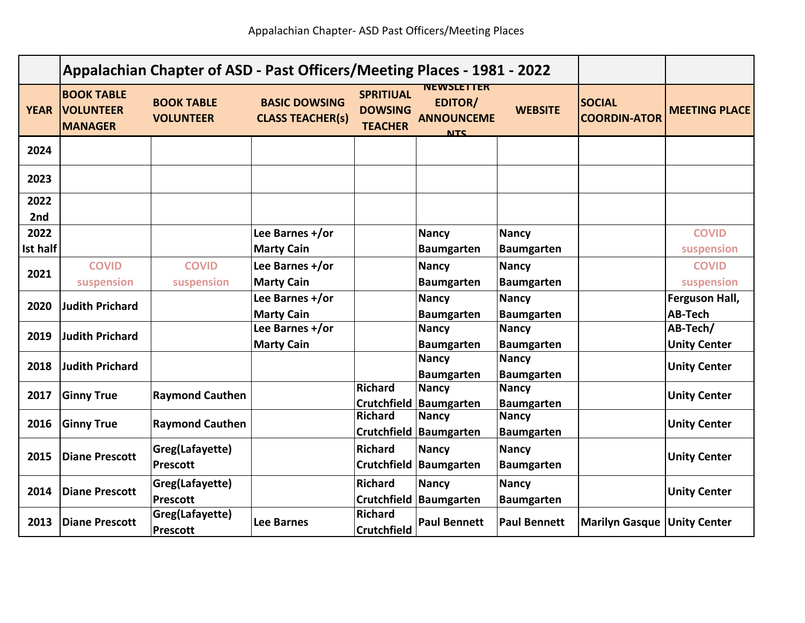|                         | Appalachian Chapter of ASD - Past Officers/Meeting Places - 1981 - 2022 |                                       |                                                 |                                                      |                                                                        |                                   |                                      |                                  |
|-------------------------|-------------------------------------------------------------------------|---------------------------------------|-------------------------------------------------|------------------------------------------------------|------------------------------------------------------------------------|-----------------------------------|--------------------------------------|----------------------------------|
| <b>YEAR</b>             | <b>BOOK TABLE</b><br><b>VOLUNTEER</b><br><b>MANAGER</b>                 | <b>BOOK TABLE</b><br><b>VOLUNTEER</b> | <b>BASIC DOWSING</b><br><b>CLASS TEACHER(s)</b> | <b>SPRITIUAL</b><br><b>DOWSING</b><br><b>TEACHER</b> | <b>NEWSLETTER</b><br><b>EDITOR/</b><br><b>ANNOUNCEME</b><br><b>NTC</b> | <b>WEBSITE</b>                    | <b>SOCIAL</b><br><b>COORDIN-ATOR</b> | <b>MEETING PLACE</b>             |
| 2024                    |                                                                         |                                       |                                                 |                                                      |                                                                        |                                   |                                      |                                  |
| 2023                    |                                                                         |                                       |                                                 |                                                      |                                                                        |                                   |                                      |                                  |
| 2022<br>2nd             |                                                                         |                                       |                                                 |                                                      |                                                                        |                                   |                                      |                                  |
| 2022<br><b>Ist half</b> |                                                                         |                                       | Lee Barnes +/or<br><b>Marty Cain</b>            |                                                      | <b>Nancy</b><br><b>Baumgarten</b>                                      | <b>Nancy</b><br><b>Baumgarten</b> |                                      | <b>COVID</b><br>suspension       |
| 2021                    | <b>COVID</b><br>suspension                                              | <b>COVID</b><br>suspension            | Lee Barnes +/or<br><b>Marty Cain</b>            |                                                      | <b>Nancy</b><br><b>Baumgarten</b>                                      | <b>Nancy</b><br><b>Baumgarten</b> |                                      | <b>COVID</b><br>suspension       |
| 2020                    | <b>Judith Prichard</b>                                                  |                                       | Lee Barnes +/or<br><b>Marty Cain</b>            |                                                      | <b>Nancy</b><br><b>Baumgarten</b>                                      | <b>Nancy</b><br><b>Baumgarten</b> |                                      | Ferguson Hall,<br><b>AB-Tech</b> |
| 2019                    | <b>Judith Prichard</b>                                                  |                                       | Lee Barnes +/or<br><b>Marty Cain</b>            |                                                      | <b>Nancy</b><br><b>Baumgarten</b>                                      | <b>Nancy</b><br><b>Baumgarten</b> |                                      | AB-Tech/<br><b>Unity Center</b>  |
| 2018                    | <b>Judith Prichard</b>                                                  |                                       |                                                 |                                                      | <b>Nancy</b><br><b>Baumgarten</b>                                      | <b>Nancy</b><br><b>Baumgarten</b> |                                      | <b>Unity Center</b>              |
| 2017                    | <b>Ginny True</b>                                                       | <b>Raymond Cauthen</b>                |                                                 | <b>Richard</b>                                       | <b>Nancy</b><br>Crutchfield   Baumgarten                               | <b>Nancy</b><br><b>Baumgarten</b> |                                      | <b>Unity Center</b>              |
| 2016                    | <b>Ginny True</b>                                                       | <b>Raymond Cauthen</b>                |                                                 | <b>Richard</b>                                       | <b>Nancy</b><br>Crutchfield   Baumgarten                               | <b>Nancy</b><br><b>Baumgarten</b> |                                      | <b>Unity Center</b>              |
| 2015                    | <b>Diane Prescott</b>                                                   | Greg(Lafayette)<br><b>Prescott</b>    |                                                 | <b>Richard</b><br><b>Crutchfield</b>                 | <b>Nancy</b><br>Baumgarten                                             | <b>Nancy</b><br><b>Baumgarten</b> |                                      | <b>Unity Center</b>              |
| 2014                    | <b>Diane Prescott</b>                                                   | Greg(Lafayette)<br><b>Prescott</b>    |                                                 | <b>Richard</b><br><b>Crutchfield</b>                 | <b>Nancy</b><br>Baumgarten                                             | <b>Nancy</b><br><b>Baumgarten</b> |                                      | <b>Unity Center</b>              |
| 2013                    | <b>Diane Prescott</b>                                                   | Greg(Lafayette)<br><b>Prescott</b>    | <b>Lee Barnes</b>                               | <b>Richard</b><br><b>Crutchfield</b>                 | <b>Paul Bennett</b>                                                    | <b>Paul Bennett</b>               | <b>Marilyn Gasque Unity Center</b>   |                                  |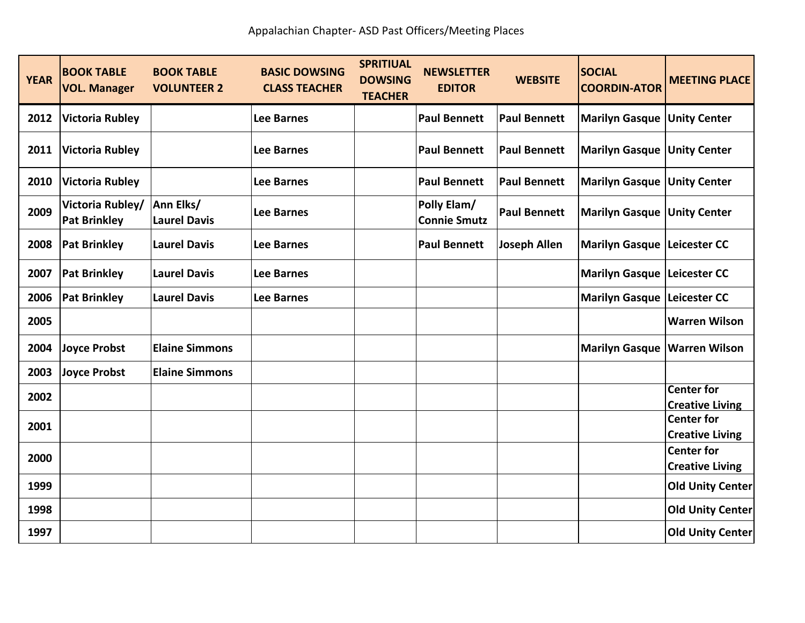| <b>YEAR</b> | <b>BOOK TABLE</b><br><b>VOL. Manager</b> | <b>BOOK TABLE</b><br><b>VOLUNTEER 2</b> | <b>BASIC DOWSING</b><br><b>CLASS TEACHER</b> | <b>SPRITIUAL</b><br><b>DOWSING</b><br><b>TEACHER</b> | <b>NEWSLETTER</b><br><b>EDITOR</b> | <b>WEBSITE</b>      | <b>SOCIAL</b><br><b>COORDIN-ATOR</b>  | <b>MEETING PLACE</b>                        |
|-------------|------------------------------------------|-----------------------------------------|----------------------------------------------|------------------------------------------------------|------------------------------------|---------------------|---------------------------------------|---------------------------------------------|
| 2012        | <b>Victoria Rubley</b>                   |                                         | <b>Lee Barnes</b>                            |                                                      | <b>Paul Bennett</b>                | <b>Paul Bennett</b> | <b>Marilyn Gasque Unity Center</b>    |                                             |
| 2011        | <b>Victoria Rubley</b>                   |                                         | <b>Lee Barnes</b>                            |                                                      | <b>Paul Bennett</b>                | <b>Paul Bennett</b> | Marilyn Gasque   Unity Center         |                                             |
| 2010        | <b>Victoria Rubley</b>                   |                                         | <b>Lee Barnes</b>                            |                                                      | <b>Paul Bennett</b>                | <b>Paul Bennett</b> | <b>Marilyn Gasque Unity Center</b>    |                                             |
| 2009        | Victoria Rubley/<br><b>Pat Brinkley</b>  | Ann Elks/<br><b>Laurel Davis</b>        | <b>Lee Barnes</b>                            |                                                      | Polly Elam/<br><b>Connie Smutz</b> | <b>Paul Bennett</b> | <b>Marilyn Gasque Unity Center</b>    |                                             |
| 2008        | <b>Pat Brinkley</b>                      | <b>Laurel Davis</b>                     | <b>Lee Barnes</b>                            |                                                      | <b>Paul Bennett</b>                | <b>Joseph Allen</b> | Marilyn Gasque Leicester CC           |                                             |
| 2007        | <b>Pat Brinkley</b>                      | <b>Laurel Davis</b>                     | <b>Lee Barnes</b>                            |                                                      |                                    |                     | Marilyn Gasque Leicester CC           |                                             |
| 2006        | <b>Pat Brinkley</b>                      | <b>Laurel Davis</b>                     | <b>Lee Barnes</b>                            |                                                      |                                    |                     | <b>Marilyn Gasque Leicester CC</b>    |                                             |
| 2005        |                                          |                                         |                                              |                                                      |                                    |                     |                                       | <b>Warren Wilson</b>                        |
| 2004        | <b>Joyce Probst</b>                      | <b>Elaine Simmons</b>                   |                                              |                                                      |                                    |                     | <b>Marilyn Gasque   Warren Wilson</b> |                                             |
| 2003        | <b>Joyce Probst</b>                      | <b>Elaine Simmons</b>                   |                                              |                                                      |                                    |                     |                                       |                                             |
| 2002        |                                          |                                         |                                              |                                                      |                                    |                     |                                       | <b>Center for</b>                           |
|             |                                          |                                         |                                              |                                                      |                                    |                     |                                       | <b>Creative Living</b>                      |
| 2001        |                                          |                                         |                                              |                                                      |                                    |                     |                                       | <b>Center for</b><br><b>Creative Living</b> |
|             |                                          |                                         |                                              |                                                      |                                    |                     |                                       | <b>Center for</b>                           |
| 2000        |                                          |                                         |                                              |                                                      |                                    |                     |                                       | <b>Creative Living</b>                      |
| 1999        |                                          |                                         |                                              |                                                      |                                    |                     |                                       | <b>Old Unity Center</b>                     |
| 1998        |                                          |                                         |                                              |                                                      |                                    |                     |                                       | <b>Old Unity Center</b>                     |
| 1997        |                                          |                                         |                                              |                                                      |                                    |                     |                                       | <b>Old Unity Center</b>                     |